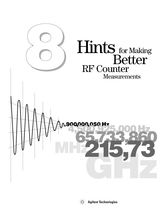

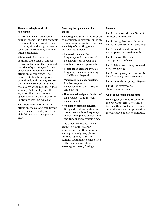### **The not-so-simple world of RF counters**

At first glance, an electronic counter seems like a fairly simple instrument. You connect a signal to the input, and a digital readout tells you the frequency or some other parameter.

While we'd like to say that counters are a plug-in-and-go sort of instrument, the technical realities of quartz-crystal timebases demand some care and attention on your part. The counter, its timebase options, your signal, and the way you set up the measurement all affect the quality of the results. In fact, so many factors play into the equation that the accuracy specification for a good counter is literally that—an equation.

The good news is that a little attention goes a long way toward better measurements, and these eight hints are a great place to start.

### **Selecting the right counter for the job**

Selecting a counter is the first bit of confusion to clear up, since an array of related products perform a variety of counting jobs at various frequencies:

- •**Universal counters.** Both frequency and time interval measurements, as well as a number of related parameters.
- •**RF frequency counters.** Precise frequency measurements, up to 3 GHz and beyond.
- •**Microwave frequency counters.** Precise frequency measurements, up to 40 GHz and beyond.
- •**Time interval analyzers.** Optimized for precision time interval measurements.
- •**Modulation domain analyzers.** Designed to show modulation quantities, such as frequency versus time, phase versus time, and time interval versus time.

This brochure focuses on RF frequency counters. For information on other counters and signal analyzers, please contact Agilent, your local Agilent Technologies sales office, or the Agilent website at **www.agilent.com/find/gp**

### **Contents**

**Hint 1:** Understand the effects of counter architecture

**Hint 2:** Recognize the difference between resolution and accuracy

**Hint 3:** Schedule calibration to match performance demands

**Hint 4:** Choose the most appropriate timebase

**Hint 5:** Adjust sensitivity to avoid noise triggering

**Hint 6:** Configure your counter for low- frequency measurements

**Hint 7:** Smooth out jumpy displays

**Hint 8:** Use statistics to characterize signals

### **A hint about reading these hints**

We suggest you read these hints in order from Hint 1 to Hint 8 because they start with the most general concepts and proceed to increasingly specific techniques.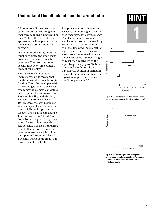## **Understand the effects of counter architecture**

RF counters fall into two basic categories: direct counting and reciprocal counting. Understanding the effects of the two difference approaches will help you choose the correct counter and use it correctly.

Direct counters simply count the number of times the input signal crosses zero during a specific gate time. The resulting count is sent directly to the counter's readout for display.

This method is simple and inexpensive, but it means that the direct counter's resolution is fixed in Hertz. For example, with a 1 second gate time, the lowest frequency the counter can detect is 1 Hz (since 1 zero crossing in 1 second is 1 Hz, by definition). Thus, if you are measuring a 10 Hz signal, the best resolution you can expect for a 1 second gate time is 1 Hz, or 2 digits in the display. For a 1 kHz signal and a 1 second gate, you get 4 digits. For a 100 kHz signal, 6 digits, and so on. Figure 1 illustrates this relationship. It is also interesting to note that a direct counter's gate times are selectable only as multiples and sub-multiples of 1 second, which could limit your measurement flexibility.

Reciprocal counters, in contrast, measure the input signal's period, then reciprocate it to get frequency. Thanks to the measurement architecture involved, the resulting resolution is fixed in the number of digits displayed (not Hertz) for a given gate time. In other words, a reciprocal counter will always display the same number of digits of resolution regardless of the input frequency (Figure 2). Note that you'll see the resolution of a reciprocal counter specified in terms of the number of digits for a particular gate time, such as "10 digits per second."





**Figure 1. The number of digits displayed by a direct counter versus frequency (for a 1 second gate time).**



**Figure 2. For the same gate time, a reciprocal counter's resolution is constant for all frequencies (the counter shown has a resolution spec of 10 digits/second).**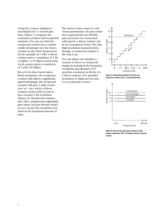Using the counter industry's benchmark of a 1 second gate time, Figure 3 compares the resolution of direct and reciprocal counters. You can see that the reciprocal counter has a considerable advantage over the direct counter in the lower frequencies. As an example, at 1 kHz, a direct counter gives a resolution of 1 Hz (4 digits). A 10 digit/second reciprocal counter gives a resolution of  $1 \mu$ Hz (10 digits).

Even if you don't need micro-Hertz resolution, the reciprocal counter still offers a significant speed advantage: the reciprocal counter will give 1 mHz resolution in 1 ms, while a direct counter needs a full second to give you just 1 Hz resolution (Figure 4). Reciprocal counters also offer continuously adjustable gate times (not just decade steps), so you can get the resolution you need in the minimum amount of time.

The choice comes down to cost versus performance. If your resolution requirements are flexible and you aren't too concerned with speed, a direct counter can be an economical choice. For fast, high-resolution measurements, though, a reciprocal counter is the way to go.

You can figure out whether a counter is direct or reciprocal simply by looking at the frequency resolution specification. If it specifies resolution in Hertz, it's a direct counter. If it specifies resolution in digits-per-second, it's a reciprocal counter.



**Figure 3. Comparing resolution for direct and reciprocal counters (for a 1 second gate time).**



**Figure 4. Here are the gate times needed to yield various resolutions with a 10 digits/second reciprocal counter.**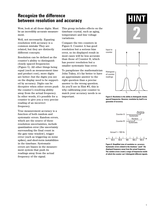# **Recognize the difference between resolution and accuracy**

Wow, look at all those digits. Must be an incredibly accurate measurement.

Well, not necessarily. Equating resolution with accuracy is a common mistake They are related, but they are distinctly different concepts.

Resolution can be defined as the counter's ability to distinguish closely spaced frequencies (Figure 5). All other things being equal (such as measurement time and product cost), more digits are better—but the digits you see on the display need to be supported by accuracy. Digits can be deceptive when other errors push the counter's resolving ability away from the actual frequency. In other words, it's possible for a counter to give you a very precise reading of an incorrect frequency.

True measurement accuracy is a function of both random and systematic errors. Random errors, which are the source of these resolution uncertainties, include quantization error (the uncertainty surrounding the final count in the gate time window), trigger error (such as triggering on noise spikes), and short-term instabilities in the timebase. Systematic errors are biases in the measurement system that push its readings away from the actual frequency of the signal.

This group includes effects on the timebase crystal, such as aging, temperature and line voltage variations.

Compare the two counters in Figure 6. Counter A has good resolution but a serious bias error, so its displayed result in most cases will be less accurate than those of Counter B, which has poorer resolution but a smaller systematic bias error.

To paraphrase the mathematician John Tukey, it's far better to have an approximate answer to the right question than a precise answer to the wrong question. As you'll see in Hint #3, this is why calibrating your counter to match your accuracy needs is so important.



**Figure 5. Resolution is the ability to distinguish closely spaced frequencies. However, resolution by itself is no guarantee of accuracy.**

 $f_1$   $f_2$ 



**Figure 6. Simplified view of resolution vs. accuracy. Systematic errors related to the timebase "push" the displayed frequency away from the actual frequency. The random errors create a range of frequencies inside of which the counter can't distinguish different signals.**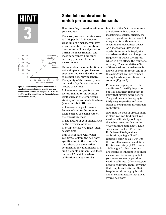

**Figure 7. Calibration compensates for the effects of crystal aging, which affects the crystal's long-term stability. In this example, the aging rate is 4 x 10-8 per day. (The short-term deviations are the result of phase noise and other factors.)**

# **Schedule calibration to HINT match performance demands**

How often do you need to calibrate your counter?

The most precise, accurate answer is "it depends." It depends on what kind of timebase you have in your counter, the conditions the counter will be subjected to during the measurement, and, most importantly, how much accuracy you need from the measurement.

To understand why calibration is not a simple issue, you have to step back and consider the nature of counter accuracy in general. The quality of the answer you see on the display depends on four groups of factors:

1. Time-invariant performance factors related to the counter itself, such as the temperature stability of the counter's timebase (more on this in Hint 4)

2. Time-variant performance factors related to the counter itself, such as the aging rate of the crystal timebase

3. The nature of your signal, such as the presence of noise

4. Setup choices you make, such as gate time

This list explains why, when you try to look up the accuracy specification in the counter's data sheet, you see a rather complicated formula instead of a single, simple number. Let's focus on item #2, which is where calibration comes into play.

In spite of the fact that counters are electronic instruments measuring electrical signals, the quartz crystal that is the heart of every counter's timebase is essentially a mechanical device. As a mechanical device, the crystal is vulnerable to physical disturbances that can change the frequency at which it vibrates, which in turn affects the counter's accuracy. The cumulative effect of these various disturbances is known as *crystal aging*, and it is this aging that you are compensating for when you calibrate the counter (Figure 7).

From a user's perspective, the details aren't terribly important, but it is definitely important to know that crystal aging occurs. The good news is that aging is fairly easy to predict and even easier to compensate for through calibration.

Now that the role of crystal aging is clear, you can find out if you need to calibrate by looking at the aging rate specification in your counter's data sheet. Let's say the rate is  $4 \times 10^8$  per day. If it's been 300 days since calibration, aging will add a timebase error of  $1.2 \times 10^{-5}$  into the overall accuracy calculation. If this uncertainty  $(\pm 12 \text{ Hz on a})$ 1 MHz signal), plus the other uncertainties inherent in counter measurements, is acceptable for your measurements, you don't need to calibrate. Otherwise, you need to calibrate. There, it wasn't that complicated after all (but keep in mind that aging is only one of several factors that affect overall accuracy).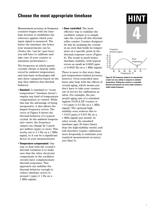## **Choose the most appropriate timebase**

Measurement accuracy in frequency counters begins with the timebase because it establishes the reference against which your input signal is measured. The better the timebase, the better your measurements can be. (Notice the "can be" part here; you still have to calibrate and take care of your counter to maximize performance.)

The frequency at which quartz crystals vibrate is heavily influenced by ambient temperature, and time-base technologies fall into three categories based on the way they address this thermal behavior:

- •**Standard.** A standard or "room temperature" timebase doesn't employ any kind of temperature compensation or control. While this has the advantage of being inexpensive, it also allows the largest frequency errors. The curve in Figure 8 shows the thermal behavior of a typical crystal. As the ambient temperature varies, the frequency output can change by 5 parts per million (ppm) or more. This works out to ± 5 Hz on a 1 MHz signal, so it can be a significant factor in your measurements.
- •**Temperature-compensated.** One way to deal with the crystal's thermal variation is to make sure that the other electronic components in the oscillator circuits have complementary thermal responses. This approach can stabilize the thermal behavior enough to reduce timebase errors to around 1 ppm (± 1 Hz on a 1 MHz signal).

•**Oven-controlled.** The most effective way to stabilize the oscillator output is to simply take the crystal off this thermal roller coaster. Counter designers do this by isolating the crystal in an oven that holds its temperature at a specific point in the thermal response curve (Figure 8). The result is much better timebase stability, with typical errors as small as 0.0025 ppm (± 0.0025 Hz on a 1 MHz signal).

There is more to this story than just temperature-related accuracy, however. Oven-controlled timebases also help with the effects of crystal aging, which means you don't have to take your counter out of service for calibration as often. For example, the permonth aging rate of a standard Agilent 53181A RF counter is  $< 0.3$  ppm ( $\pm 0.3$  Hz on a 1 MHz signal). The optional highstability oven reduces this to  $< 0.015$  ppm ( $\pm 0.015$  Hz on a 1 MHz signal) per month. In other words, the standard timebase ages 20 times faster than the high-stability model, and will therefore require calibration more frequently to maintain your required measurement accuracy (see Hint 3).





**Figure 8. The frequency output of an unprotected crystal can vary widely in response to ambient temperature. Putting the crystal in a controlled thermal environment (an oven) helps maintain a stable output frequency.**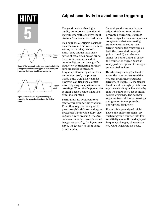

**Figure 9. The two small peaks (spurious signals in this case) generate unwanted triggers at point 1 and point 3 because the trigger band is set too narrow.**



**Figure 10. Lowering the trigger sensitivity by expanding the trigger band produces the desired count.**

# **Adjust sensitivity to avoid noise triggering**

The good news is that highquality counters are broadband instruments with sensitive input circuits. That's also the bad news.

To a counter, all signals basically look the same. Sine waves, square waves, harmonics, random noise—they all just look like a series of zero crossings as far as the counter is concerned. A counter figures out the signal's frequency by triggering on these zero crossings to measure frequency. If your signal is clean and uncluttered, the process works quite well. Noisy signals, however, can trick the counter into triggering on spurious zero crossings. When this happens, the counter doesn't count what you think it's counting.

Fortunately, all good counters offer a way around this problem. First, they require the signal to pass through both lower and upper hysteresis thresholds before they register a zero crossing. The gap between these two levels is called *trigger sensitivity*, the *hysteresis band*, the *trigger band* or something similar.

Second, good counters let you adjust this band to minimize unwanted triggering. Figure 9 shows a signal with some spurious components that are causing trouble with the count. The trigger band is fairly narrow, so both the unwanted noise (at points 1 and 3) and the real signal (at points 2 and 4) cause the counter to trigger. What is really just two cycles of the signal get counted as four.

By adjusting the trigger band to make the counter less sensitive, you can avoid these spurious triggers. In Figure 10, the trigger band is wide enough (which is to say the sensitivity is low enough) that the spurs don't get counted as zero crossings. The counter registers two valid zero crossings and goes on to compute the appropriate frequency.

If you think your signal might have some noise problems, try switching your counter into lowsensitivity mode. If the displayed frequency changes, chances are you were triggering on noise.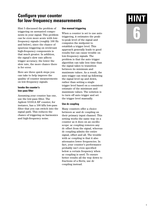# **Configure your counter for low-frequency measurements HINT**

Hint 5 discussed the problem of triggering on unwanted components in your signal. This problem can be even more acute with lowfrequency signals (roughly 100 Hz and below), since the chance of spurious triggering on irrelevant high-frequency components is that much greater. In addition, the signal's slew rate affects trigger accuracy; the lower the slew rate, the more chance there is for error.

Here are three quick steps you can take to help improve the quality of counter measurements on low-frequency signals.

### **Invoke the counter's low-pass filter**

Assuming your counter has one, use the low-pass filter. The Agilent 53181A RF counter, for instance, has a 100 kHz low-pass filter that you can switch into the signal path. This reduces the chance of triggering on harmonics and high-frequency noise.

### **Use manual triggering**

When a counter is set to use auto triggering, it estimates the peakto-peak level of the signal and computes the midpoint to establish a trigger level. This approach generally leads to good results but can cause trouble on low-frequency signals. The problem is that the auto trigger algorithm can take less time than the signal takes to transition between its minimum and maximum values. As a result, the auto trigger can wind up following the signal level up and down, rather than setting a single trigger level based on a consistent estimate of the minimum and maximum values. The solution is to turn off auto trigger and set the trigger level manually.

### **Use dc coupling**

Many counters offer a choice between ac and dc coupling on their primary input channel. This setting works the same way on a counter as it does on an oscilloscope: ac coupling removes any dc offset from the signal, whereas dc coupling admits the entire signal, offset and all. The trouble with ac coupling is that it also attenuates lower frequencies. In fact, your counter's performance probably isn't even specified below a certain frequency when ac coupling is used. To ensure better results all the way down to fractions of a Hertz, use dc coupling instead.

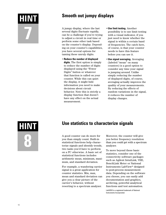

# **Smooth out jumpy displays HINT**

A jumpy display, where the last several digits fluctuate rapidly, can be a challenge if you're trying to adjust a circuit in real time or perform some other task based on the counter's display. Depending on your counter's capabilities, you have several options for taming these unruly digits.

- •**Reduce the number of displayed digits.** The first option is simply to reduce the number of digits displayed using the "Fewer Digits" button or whatever that function is called on your counter. While this can quiet the display, it might hide information you need to make decisions about circuit behavior. Note this is strictly a display function that doesn't have any effect on the actual measurement.
- •**Use limit testing.** Another possibility is to use limit testing with a visual indicator, if you just need to know whether the signal is within a certain band of frequencies. The catch here, of course, is that your counter needs to have this feature before you can use it.
- •**Use signal averaging.** Averaging (labeled "mean" on many counters) is a good option to consider any time your signal is jumping around. Unlike simply reducing the number of displayed digits, of course, averaging actually improves the quality of your measurements. By reducing the effects of random variations in the signal, it reduces the number of display changes.

**HINT 8**

# **Use statistics to characterize signals**

A good counter can do more for you than simply count. Built-in statistical functions help characterize signals and identify trends, two tasks you'd have to perform on a PC otherwise. A basic set of statistical functions includes arithmetic mean, minimum, maximum, and standard deviation.

For example, a wandering carrier signal is a great application for counter statistics. Min, max, mean and standard deviation can give you a clear picture of the carrier's behavior, without resorting to a spectrum analyzer.

Moreover, the counter will give you better frequency resolution than you could get with a spectrum analyzer.

To move beyond these basic statistics, consider one of the connectivity software packages such as Agilent IntuiLink, VEE, BenchLink Meter or National Instruments LabView® designed to post-process measurement data. Depending on the software you choose, you can easily add documentation and graphics, archiving, powerful analytical functions and test automation.

LabVIEW is a registered trademark of National Instruments Incorporated.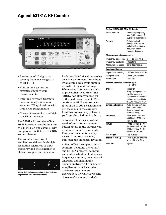# **Agilent 53181A RF Counter**



- •Resolution of 10 digits per second; frequency ranges up to 12.4 GHz
- •Built-in limit testing and statistics simplify your measurements
- •IntuiLink software transfers data and images into your standard PC applications with little or no programming
- •Choice of economical and highprecision timebases

The 53181A RF counter offers 10 digits/second resolution at up to 225 MHz on one channel, with an optional 1.5, 3, 5, or 12.4 GHz second channel.

The counter's reciprocal architecture delivers both high resolution regardless of input frequency and the flexibility to choose any gate time you want.



**Built-in limit testing with a unique in-limit indicator simplifies real-time circuit adjustments.**

Real-time digital signal processing boosts measurement throughput by analyzing data while simultaneously taking new readings. While other counters are stuck in processing "dead time," the 53181A has already moved on to the next measurement. With continuous GPIB data transfer rates of up to 200 measurements per second, and the standard IntuiLink connectivity software, you'll get the job done in a hurry.

Automated limit tests, instant recall of test setups and onebutton access to the features you need most simplify your work. Plus, you can simultaneously measure and track average, min/max and standard deviation.

Agilent offers a complete line of counters, including the 53131A and 53132A universal counters and a wide selection of microwave frequency counters, time interval analyzers and modulation domain analyzers. The engineers at Agilent or your local sales office can provide more information. Or visit our website at **www.agilent.com/find/gp**

| Agilent 53181A 225-MHz RF Counter                                          |                                                                                                                                               |
|----------------------------------------------------------------------------|-----------------------------------------------------------------------------------------------------------------------------------------------|
| Measurements                                                               | Frequency, frequency<br>ratio (with optional CH<br>2), period, peak voltage                                                                   |
| Analysis                                                                   | <b>Automatic limit</b><br>testing, math (scale<br>and offset), statistics<br>(min, max, mean,<br>standard deviation)                          |
| <b>Measurement characteristics</b>                                         |                                                                                                                                               |
| Frequency range (std.)<br>Frequency resolution<br><b>Measurement speed</b> | CH 1: dc -225 MHz<br>10 digits/s<br>Up to 200 meas/s                                                                                          |
| <b>Input conditioning</b>                                                  |                                                                                                                                               |
| Impedance, coupling<br>Low pass filter<br>Attenuation                      | 1 M $\Omega$ or 50 $\Omega$ , ac or dc<br>100 kHz, switchable<br>X1 or X10                                                                    |
| <b>External timebase reference input</b>                                   | 1, 5, 10 MHz                                                                                                                                  |
| Trigger                                                                    | Trigger on<br>rising/falling edge; set<br>level by percent of<br>signal level or absolute<br>voltage; set sensitivity<br>to LOW, MED, or HIGH |
| <b>Gating and arming</b>                                                   | Auto, manual (set gate<br>time or number of<br>digits of resolution);<br>external; delay                                                      |
| <b>Interfaces</b>                                                          | GPIB (IEEE 488.1 and<br>488.2) with SCPI; talk<br>only RS-232                                                                                 |
| Power                                                                      | 100 to 120 Vac ± 10%<br>50, 60 or 400 Hz ± 10%<br>220 to 240 Vac ± 10%<br>50 or 60 Hz ± 10%                                                   |
| Net weight                                                                 | 3 kg (6.5 lbs)                                                                                                                                |
| Size (H x W x D)                                                           | 103.6 x 254.4 x 374 mm<br>$(4.1 \times 10.0 \times 14.8 \text{ in})$                                                                          |
| Warranty                                                                   | $\overline{3}$ years                                                                                                                          |